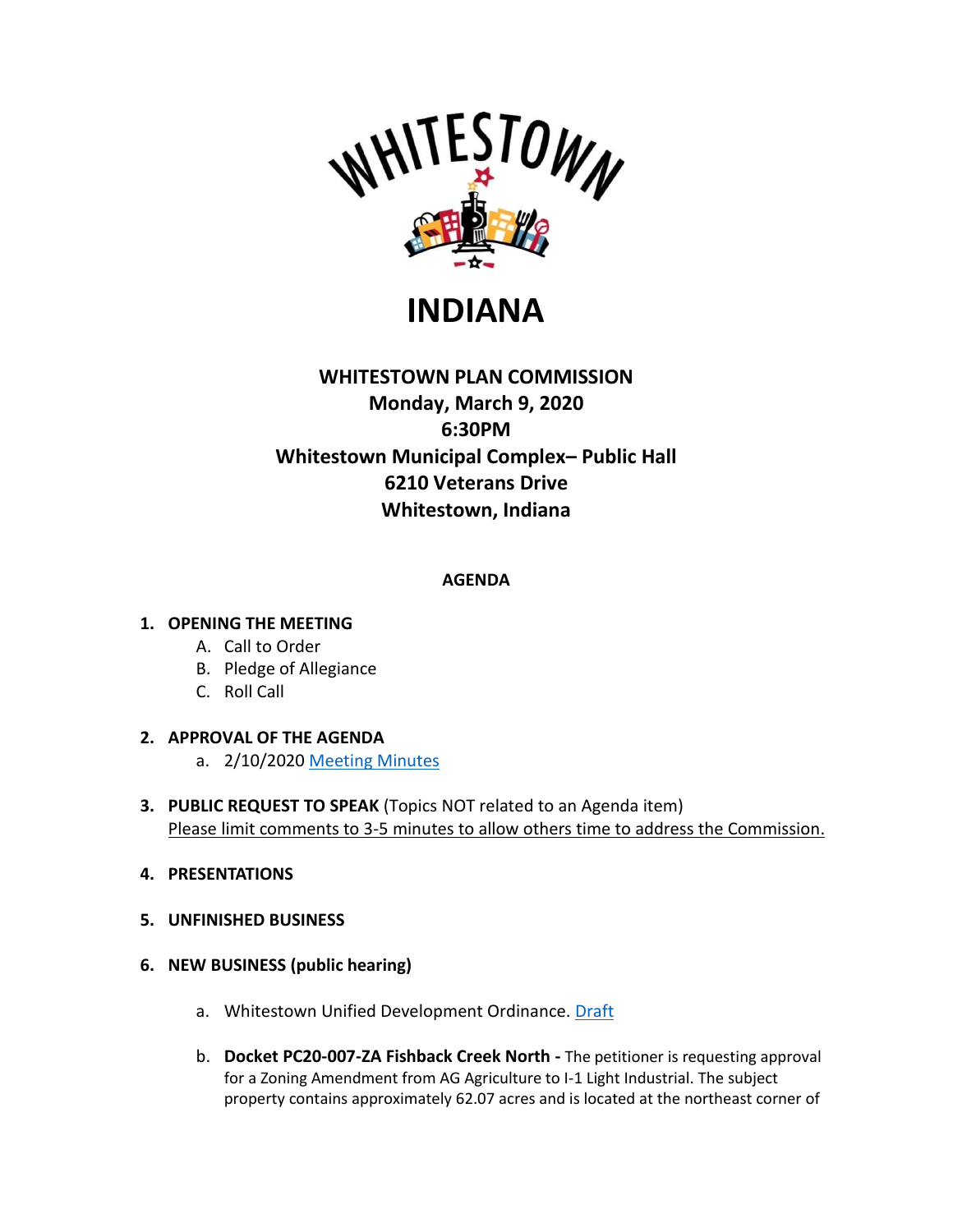

# **INDIANA**

# **WHITESTOWN PLAN COMMISSION Monday, March 9, 2020 6:30PM Whitestown Municipal Complex– Public Hall 6210 Veterans Drive Whitestown, Indiana**

**AGENDA**

### **1. OPENING THE MEETING**

- A. Call to Order
- B. Pledge of Allegiance
- C. Roll Call

#### **2. APPROVAL OF THE AGENDA**

- a. 2/10/2020 [Meeting Minutes](https://whitestown.in.gov/vertical/sites/%7BB8BE8AC3-9DE8-4247-BCB0-1173F48CC7C3%7D/uploads/02-10-20_WPC_Meeting_Minutes.pdf)
- **3. PUBLIC REQUEST TO SPEAK** (Topics NOT related to an Agenda item) Please limit comments to 3-5 minutes to allow others time to address the Commission.
- **4. PRESENTATIONS**
- **5. UNFINISHED BUSINESS**
- **6. NEW BUSINESS (public hearing)**
	- a. Whitestown Unified Development Ordinance. [Draft](https://whitestown.in.gov/vertical/sites/%7BB8BE8AC3-9DE8-4247-BCB0-1173F48CC7C3%7D/uploads/Whitestown_UDO_Adoption_Draft_updated_on_2020-02-27.pdf)
	- b. **Docket PC20-007-ZA Fishback Creek North -** The petitioner is requesting approval for a Zoning Amendment from AG Agriculture to I-1 Light Industrial. The subject property contains approximately 62.07 acres and is located at the northeast corner of